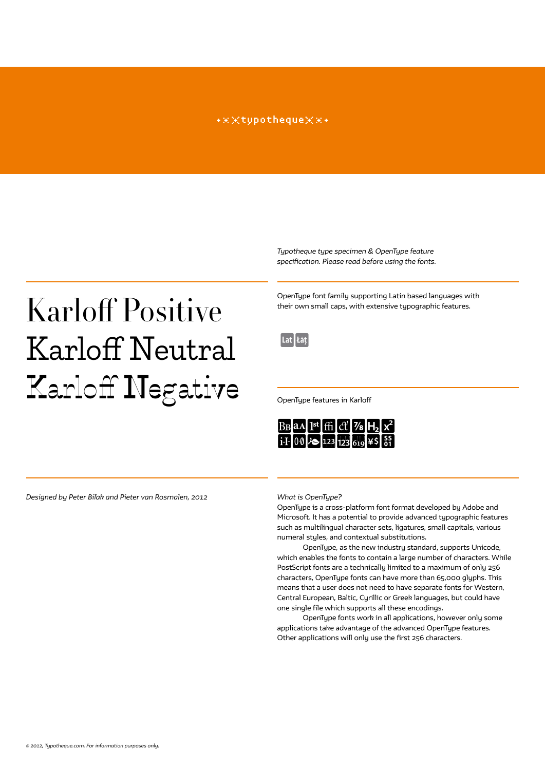### \*\*\*tupotheque\*\*\*

*Typotheque type specimen & OpenType feature specification. Please read before using the fonts.*

## Karloff Positive Karloff Neutral Karloff Negative

OpenType font family supporting Latin based languages with their own small caps, with extensive typographic features.

 $|$ Lat $|$ Łāt $|$ 

OpenType features in Karloff



*Designed by Peter Biľak and Pieter van Rosmalen, 2012*

*What is OpenType?*

OpenType is a cross-platform font format developed by Adobe and Microsoft. It has a potential to provide advanced typographic features such as multilingual character sets, ligatures, small capitals, various numeral styles, and contextual substitutions.

OpenType, as the new industry standard, supports Unicode, which enables the fonts to contain a large number of characters. While PostScript fonts are a technically limited to a maximum of only 256 characters, OpenType fonts can have more than 65,000 glyphs. This means that a user does not need to have separate fonts for Western, Central European, Baltic, Cyrillic or Greek languages, but could have one single file which supports all these encodings.

OpenType fonts work in all applications, however only some applications take advantage of the advanced OpenType features. Other applications will only use the first 256 characters.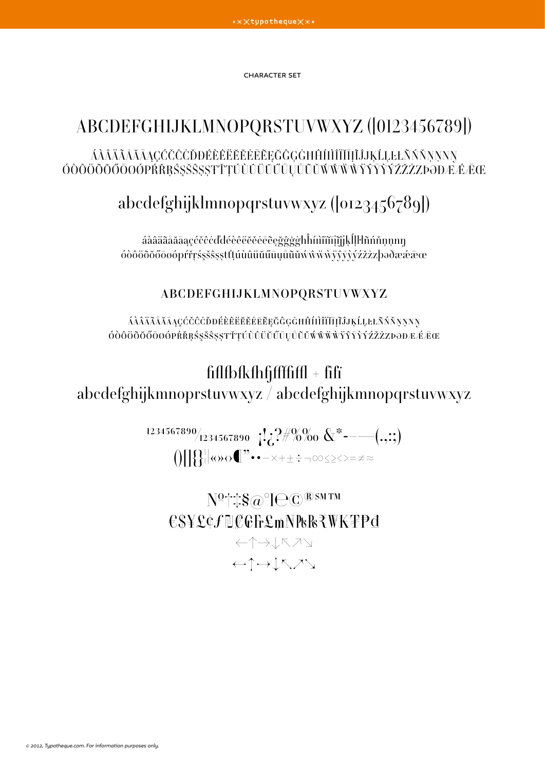character set

## abcdefghijklmnopqrstuvwxyz ([0123456789]) áàâäãåǎāaçćčĉċĎĐéèêëĕĕĕēēĘĞĜĢĠĦĤſIìÎïĬĪĮĨĴJĶĹĻĿŁÑŃŇŅNNŊ ÓÒÔÖÕŎŐŌØØPŔŘRŚSŠŜSSŦŤTÚÙÛÜŬŰŨŬŰŨŬŴŴŴŸŶŶŶŹŽŻZÞƏĐÆÁÆŒ

## abcdefghijklmnopqrstuvwxyz ([0123456789])

áàâäãåăāąçćčĉċďđéèêëĕěėēẽęğĝģġħĥíıìîïĭīįĩĵjķĺļŀłñńňņṇnŋ óòôöõőőõøøpŕřŗśşšŝṣṣŧťţúùûüŭűūųůũǔẃŵẅẁÿŷyvźžżzþəðæææœ

## abcdefghijklmnopqrstuvwxyz

áàâäãåăāąçćčĉċĎđéèêëĕĕĕēēęğĝģġĦĤíiìîïĭījĩĴjķĹĻĿŁÑŃŇŅŅNŊ ÓÒÔÖÕŎŐŌØØPŔŘRŚŞŠŜSSŦŤTÚÙÛÜŬŰŪŲŮŨŬŴŴŴŸŶŸŶŹŽŻZÞƏĐÆÁĒŒ

## $f$ fifl $f$ bfkfhfjffffffffl $f$  + fìfi abcdefghijkmnoprstuvwxyz / abcdefghijkmnopqrstuvwxyz

 $1234567890/1234567890$   $\left| \cdot \right| \cdot \cdot \cdot \cdot \cdot \cdot \cdot \cdot \cdot \cdot \cdot \cdot$   $\left| \cdot \right|$  $\text{supp}(\mathcal{X}|\mathcal{X})=\text{supp}(\mathcal{X}|\mathcal{X})=\text{supp}(\mathcal{X}|\mathcal{X})$ 

№†‡§@°l℮©®℠™ €\$¥£¢ƒ₪₡₢₣₤₥₦₧₨₹₩₭₮₱₫ ←↑→↓↖↗↘

←↑→↓↖↗↘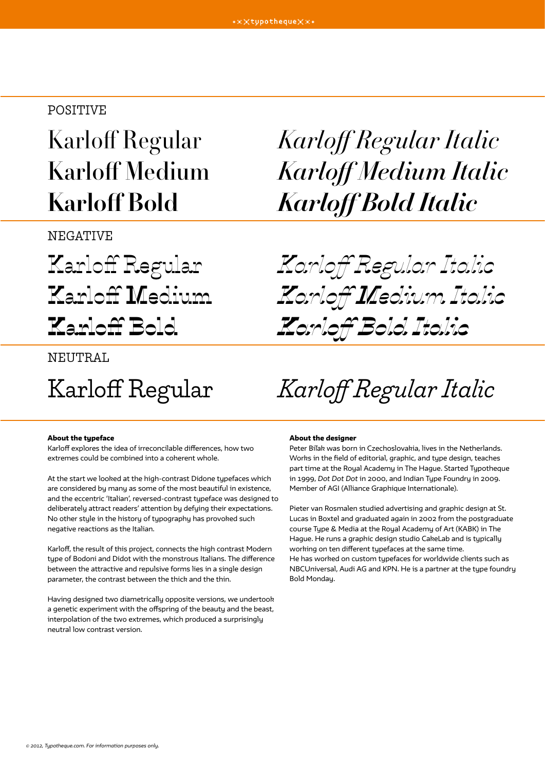## POSITIVE

**NEGATIVE** 

## Karloff Regular Karloff Regular Italic Karloff Medium Karloff Medium Italic Karloff Bold Karloff Bold Italic

Karloff Regular Karloff Regular Italic Karloff Medium Karloff Medium Italic Karloff Bold Karloff Bold Italic

### NEUTRAL

Karloff Regular Karloff Regular Italic

### About the typeface

Karloff explores the idea of irreconcilable differences, how two extremes could be combined into a coherent whole.

At the start we looked at the high-contrast Didone typefaces which are considered by many as some of the most beautiful in existence, and the eccentric 'Italian', reversed-contrast typeface was designed to deliberately attract readers' attention by defying their expectations. No other stule in the history of typography has provoked such negative reactions as the Italian.

Karloff, the result of this project, connects the high contrast Modern type of Bodoni and Didot with the monstrous Italians. The difference between the attractive and repulsive forms lies in a single design parameter, the contrast between the thick and the thin.

Having designed two diametrically opposite versions, we undertook a genetic experiment with the offspring of the beauty and the beast, interpolation of the two extremes, which produced a surprisingly neutral low contrast version.

#### About the designer

Peter Biľak was born in Czechoslovakia, lives in the Netherlands. Works in the field of editorial, graphic, and type design, teaches part time at the Royal Academy in The Hague. Started Typotheque in 1999, *Dot Dot Dot* in 2000, and Indian Type Foundry in 2009. Member of AGI (Alliance Graphique Internationale).

Pieter van Rosmalen studied advertising and graphic design at St. Lucas in Boxtel and graduated again in 2002 from the postgraduate course Type & Media at the Royal Academy of Art (KABK) in The Hague. He runs a graphic design studio CakeLab and is typically working on ten different typefaces at the same time. He has worked on custom typefaces for worldwide clients such as NBCUniversal, Audi AG and KPN. He is a partner at the type foundry Bold Monday.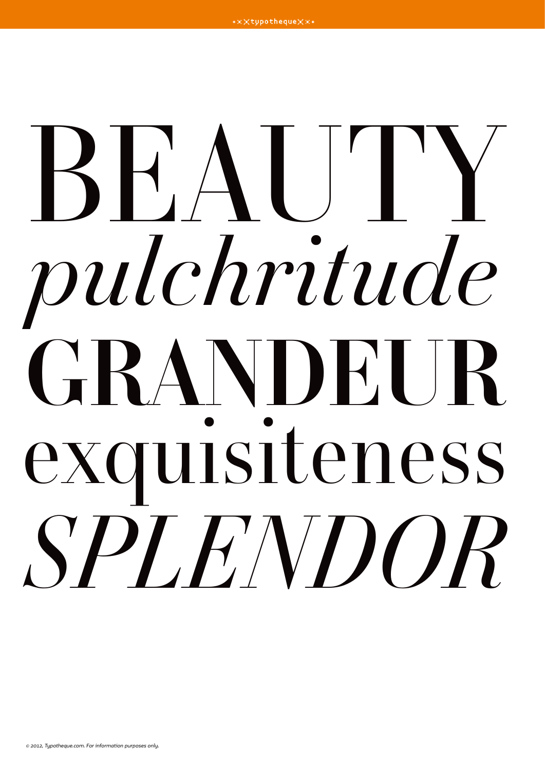## BEAUTY *pulchritude* **GRANDEUR** exquisiteness *SPLENDOR*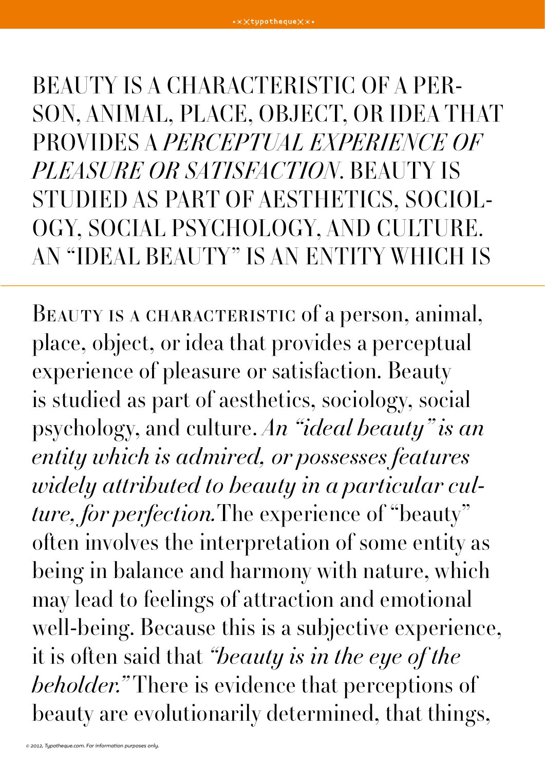BEAUTY IS A CHARACTERISTIC OF A PERson, animal, place, object, or idea that provides a perceptual experience of PLEASURE OR SATISFACTION. BEAUTY IS studied as part of aesthetics, sociology, social psychology, and culture. An "ideal beauty" is an entity which is

BEAUTY IS A CHARACTERISTIC of a person, animal, place, object, or idea that provides a perceptual experience of pleasure or satisfaction. Beauty is studied as part of aesthetics, sociology, social psychology, and culture. An "ideal beauty" is an entity which is admired, or possesses features widely attributed to beauty in a particular culture, for perfection. The experience of "beauty" often involves the interpretation of some entity as being in balance and harmony with nature, which may lead to feelings of attraction and emotional well-being. Because this is a subjective experience, it is often said that "beauty is in the eye of the beholder." There is evidence that perceptions of beauty are evolutionarily determined, that things,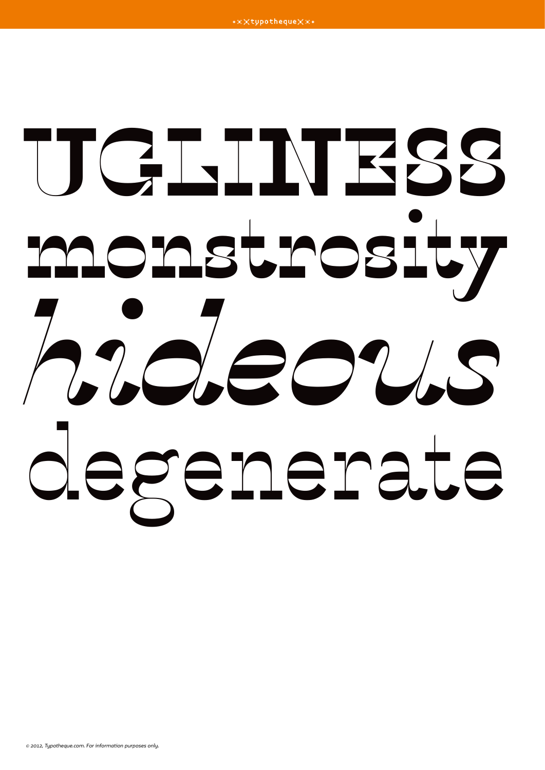# **UGLINESS monstrosity** *hideous* degenerate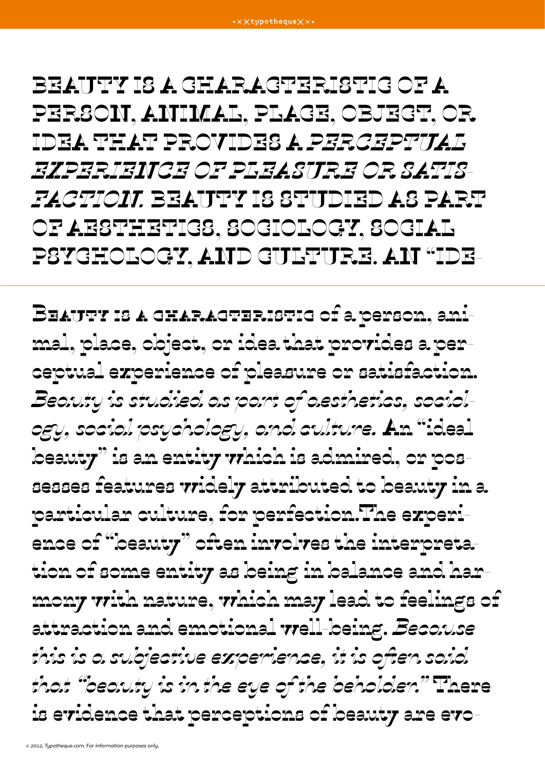BEAUTY IS A GHARAGTERISTIG OF A person, animal, place, object, or idea that provides a perceptual experience of pleasure or satisfaction. Beauty is studied as part of aesthetics, sociology, social psychology, and culture. An "ide-

Beauty is a characteristic of a person, animal, place, object, or idea that provides a perceptual experience of pleasure or satisfaction. Beauty is studied as part of aesthetics, sociology, social psychology, and culture. An "ideal beauty" is an entity which is admired, or possesses features widely attributed to beauty in a particular culture, for perfection.The experience of "beauty" often involves the interpretation of some entity as being in balance and harmony with nature, which may lead to feelings of attraction and emotional well-being. Because this is a subjective experience, it is often said that "beauty is in the eye of the beholder." There is evidence that perceptions of beauty are evo-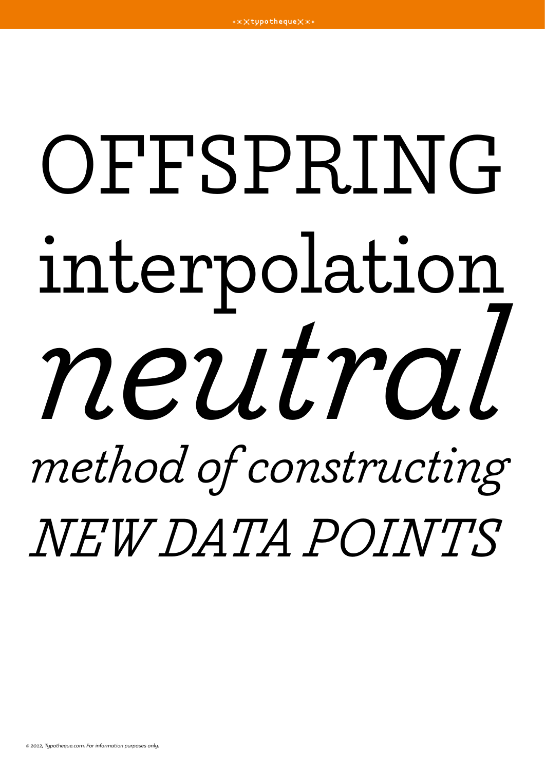## OFFSPRING interpolation neutral method of constructing NEW DATA POINTS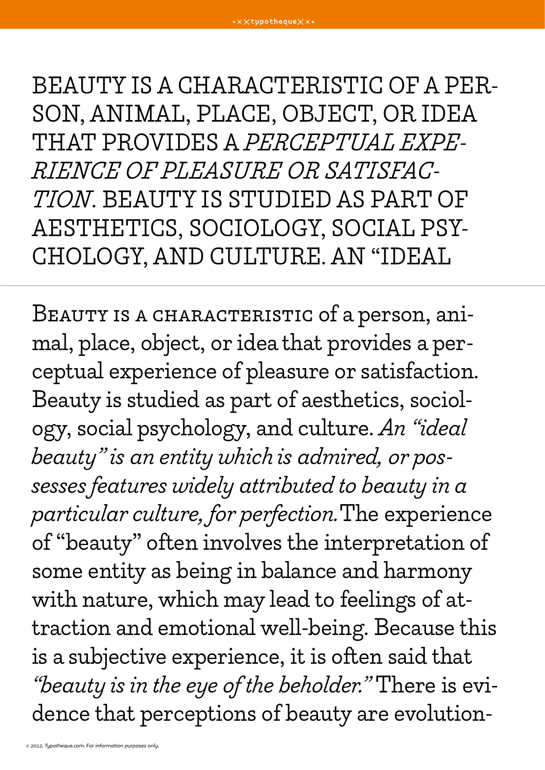BEAUTY IS A CHARACTERISTIC OF A PERson, animal, place, object, or idea THAT PROVIDES A PERCEPTUAL EXPErience of pleasure or satisfac-TION. BEAUTY IS STUDIED AS PART OF AESTHETICS, SOCIOLOGY, SOCIAL PSYchology, and culture. An "ideal

BEAUTY IS A CHARACTERISTIC of a person, animal, place, object, or idea that provides a perceptual experience of pleasure or satisfaction. Beauty is studied as part of aesthetics, sociology, social psychology, and culture. An "ideal beauty" is an entity which is admired, or possesses features widely attributed to beauty in a particular culture, for perfection.The experience of "beauty" often involves the interpretation of some entity as being in balance and harmony with nature, which may lead to feelings of attraction and emotional well-being. Because this is a subjective experience, it is often said that "beauty is in the eye of the beholder." There is evidence that perceptions of beauty are evolution-